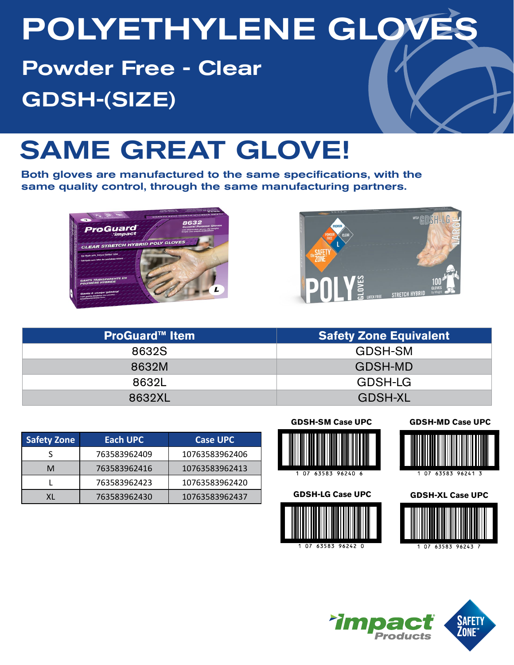# POLYETHYLENE GLOV

Powder Free - Clear GDSH-(SIZE)

## SAME GREAT GLOVE!

Both gloves are manufactured to the same specifications, with the same quality control, through the same manufacturing partners.





| <b>ProGuard™ Item</b> | <b>Safety Zone Equivalent</b> |
|-----------------------|-------------------------------|
| 8632S                 | GDSH-SM                       |
| 8632M                 | GDSH-MD                       |
| 8632L                 | GDSH-LG                       |
| 8632XL                | <b>GDSH-XL</b>                |

| Safety Zone | <b>Each UPC</b> | <b>Case UPC</b> |
|-------------|-----------------|-----------------|
|             | 763583962409    | 10763583962406  |
| м           | 763583962416    | 10763583962413  |
|             | 763583962423    | 10763583962420  |
| ΧL          | 763583962430    | 10763583962437  |

**GDSH-SM Case UPC**





#### **GDSH-MD Case UPC**



#### **GDSH-XL Case UPC**